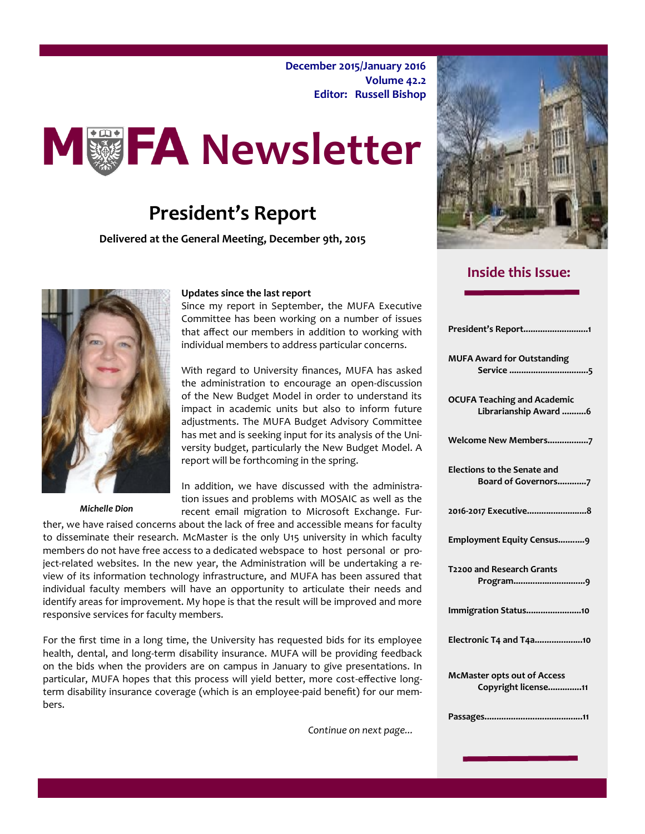**December 2015/January 2016 Volume 42.2 Editor: Russell Bishop**



## **President's Report**

**Delivered at the General Meeting, December 9th, 2015**



*Michelle Dion*

#### **Updates since the last report**

Since my report in September, the MUFA Executive Committee has been working on a number of issues that affect our members in addition to working with individual members to address particular concerns.

With regard to University finances, MUFA has asked the administration to encourage an open-discussion of the New Budget Model in order to understand its impact in academic units but also to inform future adjustments. The MUFA Budget Advisory Committee has met and is seeking input for its analysis of the University budget, particularly the New Budget Model. A report will be forthcoming in the spring.

In addition, we have discussed with the administration issues and problems with MOSAIC as well as the recent email migration to Microsoft Exchange. Fur-

ther, we have raised concerns about the lack of free and accessible means for faculty to disseminate their research. McMaster is the only U15 university in which faculty members do not have free access to a dedicated webspace to host personal or project-related websites. In the new year, the Administration will be undertaking a review of its information technology infrastructure, and MUFA has been assured that individual faculty members will have an opportunity to articulate their needs and identify areas for improvement. My hope is that the result will be improved and more responsive services for faculty members.

For the first time in a long time, the University has requested bids for its employee health, dental, and long-term disability insurance. MUFA will be providing feedback on the bids when the providers are on campus in January to give presentations. In particular, MUFA hopes that this process will yield better, more cost-effective longterm disability insurance coverage (which is an employee-paid benefit) for our members.

*Continue on next page...*



### **Inside this Issue:**

| President's Report1                                         |
|-------------------------------------------------------------|
| <b>MUFA Award for Outstanding</b>                           |
| <b>OCUFA Teaching and Academic</b><br>Librarianship Award 6 |
| Welcome New Members7                                        |
| <b>Elections to the Senate and</b><br>Board of Governors7   |
| 2016-2017 Executive8                                        |
| Employment Equity Census9                                   |
| T2200 and Research Grants                                   |
| Immigration Status10                                        |
| Electronic T4 and T4a10                                     |
| <b>McMaster opts out of Access</b><br>Copyright license11   |
|                                                             |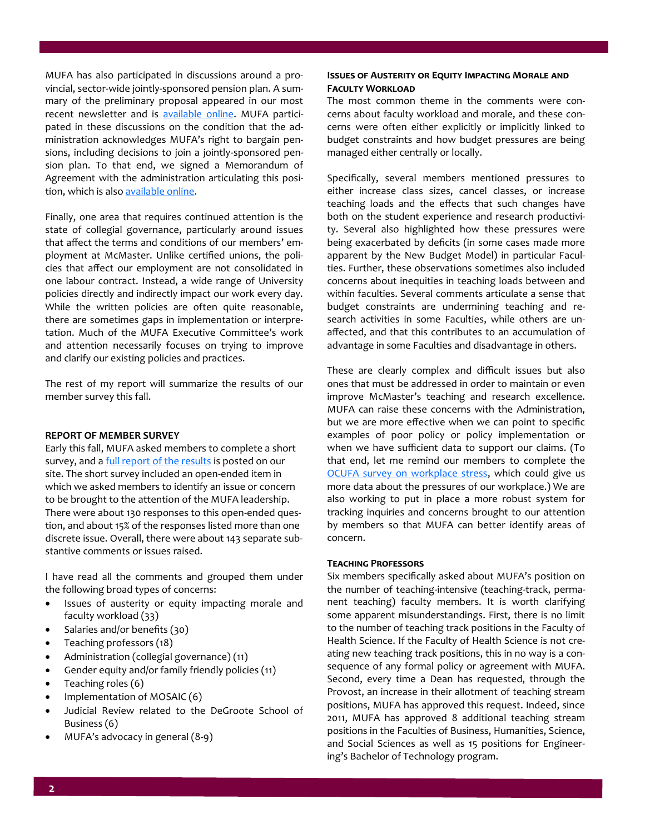MUFA has also participated in discussions around a provincial, sector-wide jointly-sponsored pension plan. A summary of the preliminary proposal appeared in our most recent newsletter and is [available online.](http://macfaculty.ca/jointly-sponsored-pension-plans-jspp/) MUFA participated in these discussions on the condition that the administration acknowledges MUFA's right to bargain pensions, including decisions to join a jointly-sponsored pension plan. To that end, we signed a Memorandum of Agreement with the administration articulating this position, which is also [available online.](http://macfaculty.ca/wp-content/uploads/2015/03/MOA-Pension-Changes1.pdf)

Finally, one area that requires continued attention is the state of collegial governance, particularly around issues that affect the terms and conditions of our members' employment at McMaster. Unlike certified unions, the policies that affect our employment are not consolidated in one labour contract. Instead, a wide range of University policies directly and indirectly impact our work every day. While the written policies are often quite reasonable, there are sometimes gaps in implementation or interpretation. Much of the MUFA Executive Committee's work and attention necessarily focuses on trying to improve and clarify our existing policies and practices.

The rest of my report will summarize the results of our member survey this fall.

#### **REPORT OF MEMBER SURVEY**

Early this fall, MUFA asked members to complete a short survey, and a [full report of the results](http://macfaculty.ca/mufa-member-flash-survey-results/) is posted on our site. The short survey included an open-ended item in which we asked members to identify an issue or concern to be brought to the attention of the MUFA leadership. There were about 130 responses to this open-ended question, and about 15% of the responses listed more than one discrete issue. Overall, there were about 143 separate substantive comments or issues raised.

I have read all the comments and grouped them under the following broad types of concerns:

- Issues of austerity or equity impacting morale and faculty workload (33)
- Salaries and/or benefits (30)
- Teaching professors (18)
- Administration (collegial governance) (11)
- Gender equity and/or family friendly policies (11)
- Teaching roles (6)
- Implementation of MOSAIC (6)
- Judicial Review related to the DeGroote School of Business (6)
- MUFA's advocacy in general (8-9)

### **ISSUES OF AUSTERITY OR EQUITY IMPACTING MORALE AND Faculty Workload**

The most common theme in the comments were concerns about faculty workload and morale, and these concerns were often either explicitly or implicitly linked to budget constraints and how budget pressures are being managed either centrally or locally.

Specifically, several members mentioned pressures to either increase class sizes, cancel classes, or increase teaching loads and the effects that such changes have both on the student experience and research productivity. Several also highlighted how these pressures were being exacerbated by deficits (in some cases made more apparent by the New Budget Model) in particular Faculties. Further, these observations sometimes also included concerns about inequities in teaching loads between and within faculties. Several comments articulate a sense that budget constraints are undermining teaching and research activities in some Faculties, while others are unaffected, and that this contributes to an accumulation of advantage in some Faculties and disadvantage in others.

These are clearly complex and difficult issues but also ones that must be addressed in order to maintain or even improve McMaster's teaching and research excellence. MUFA can raise these concerns with the Administration, but we are more effective when we can point to specific examples of poor policy or policy implementation or when we have sufficient data to support our claims. (To that end, let me remind our members to complete the [OCUFA survey on workplace stress,](https://www.surveymonkey.com/r/OCUFA_Stress_Survey) which could give us more data about the pressures of our workplace.) We are also working to put in place a more robust system for tracking inquiries and concerns brought to our attention by members so that MUFA can better identify areas of concern.

#### **Teaching Professors**

Six members specifically asked about MUFA's position on the number of teaching-intensive (teaching-track, permanent teaching) faculty members. It is worth clarifying some apparent misunderstandings. First, there is no limit to the number of teaching track positions in the Faculty of Health Science. If the Faculty of Health Science is not creating new teaching track positions, this in no way is a consequence of any formal policy or agreement with MUFA. Second, every time a Dean has requested, through the Provost, an increase in their allotment of teaching stream positions, MUFA has approved this request. Indeed, since 2011, MUFA has approved 8 additional teaching stream positions in the Faculties of Business, Humanities, Science, and Social Sciences as well as 15 positions for Engineering's Bachelor of Technology program.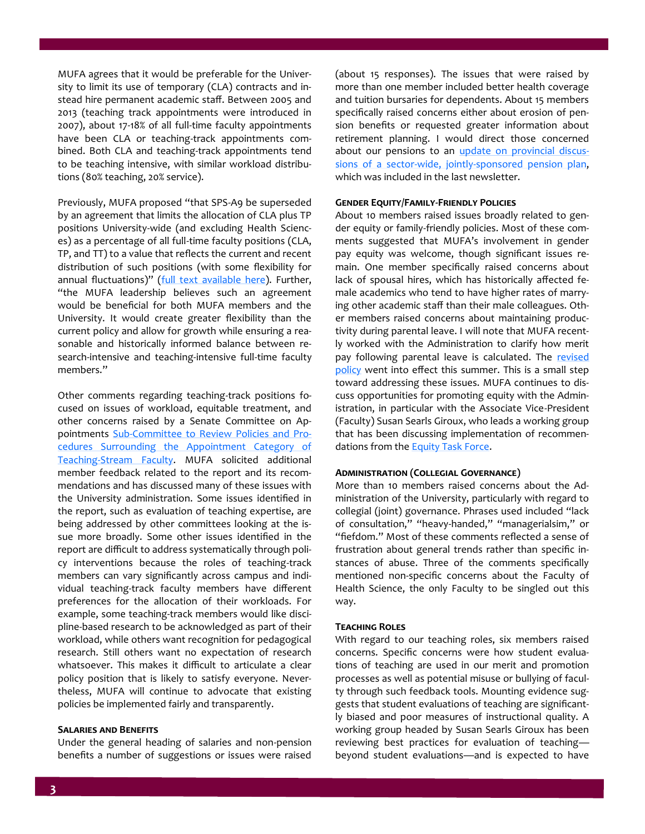MUFA agrees that it would be preferable for the University to limit its use of temporary (CLA) contracts and instead hire permanent academic staff. Between 2005 and 2013 (teaching track appointments were introduced in 2007), about 17-18% of all full-time faculty appointments have been CLA or teaching-track appointments combined. Both CLA and teaching-track appointments tend to be teaching intensive, with similar workload distributions (80% teaching, 20% service).

Previously, MUFA proposed "that SPS-A9 be superseded by an agreement that limits the allocation of CLA plus TP positions University-wide (and excluding Health Sciences) as a percentage of all full-time faculty positions (CLA, TP, and TT) to a value that reflects the current and recent distribution of such positions (with some flexibility for annual fluctuations)" [\(full text available here\).](http://www.mcmaster.ca/mufa/documents/TeachingstreamappointmentsMUFAnewsletter20140307.pdf) Further, "the MUFA leadership believes such an agreement would be beneficial for both MUFA members and the University. It would create greater flexibility than the current policy and allow for growth while ensuring a reasonable and historically informed balance between research-intensive and teaching-intensive full-time faculty members."

Other comments regarding teaching-track positions focused on issues of workload, equitable treatment, and other concerns raised by a Senate Committee on Appointments Sub-[Committee to Review Policies and Pro](http://www.mcmaster.ca/vpacademic/documents/2014%20Teaching-Stream%20Faculty%20Committee%20report.pdf)[cedures Surrounding the Appointment Category of](http://www.mcmaster.ca/vpacademic/documents/2014%20Teaching-Stream%20Faculty%20Committee%20report.pdf)  Teaching-[Stream Faculty.](http://www.mcmaster.ca/vpacademic/documents/2014%20Teaching-Stream%20Faculty%20Committee%20report.pdf) MUFA solicited additional member feedback related to the report and its recommendations and has discussed many of these issues with the University administration. Some issues identified in the report, such as evaluation of teaching expertise, are being addressed by other committees looking at the issue more broadly. Some other issues identified in the report are difficult to address systematically through policy interventions because the roles of teaching-track members can vary significantly across campus and individual teaching-track faculty members have different preferences for the allocation of their workloads. For example, some teaching-track members would like discipline-based research to be acknowledged as part of their workload, while others want recognition for pedagogical research. Still others want no expectation of research whatsoever. This makes it difficult to articulate a clear policy position that is likely to satisfy everyone. Nevertheless, MUFA will continue to advocate that existing policies be implemented fairly and transparently.

#### **Salaries and Benefits**

Under the general heading of salaries and non-pension benefits a number of suggestions or issues were raised

(about 15 responses). The issues that were raised by more than one member included better health coverage and tuition bursaries for dependents. About 15 members specifically raised concerns either about erosion of pension benefits or requested greater information about retirement planning. I would direct those concerned about our pensions to an [update on provincial discus](http://macfaculty.ca/jointly-sponsored-pension-plans-jspp/)sions of a sector-wide, jointly-[sponsored pension plan,](http://macfaculty.ca/jointly-sponsored-pension-plans-jspp/)  which was included in the last newsletter.

#### **Gender Equity/Family-Friendly Policies**

About 10 members raised issues broadly related to gender equity or family-friendly policies. Most of these comments suggested that MUFA's involvement in gender pay equity was welcome, though significant issues remain. One member specifically raised concerns about lack of spousal hires, which has historically affected female academics who tend to have higher rates of marrying other academic staff than their male colleagues. Other members raised concerns about maintaining productivity during parental leave. I will note that MUFA recently worked with the Administration to clarify how merit pay following parental leave is calculated. The revised [policy](http://www.mcmaster.ca/policy/faculty/Leaves/SPS_C4-Pregnancy-Parental_Leave-Faculty-MUFA_Librarians.pdf) went into effect this summer. This is a small step toward addressing these issues. MUFA continues to discuss opportunities for promoting equity with the Administration, in particular with the Associate Vice-President (Faculty) Susan Searls Giroux, who leads a working group that has been discussing implementation of recommendations from the **Equity Task Force**.

#### **Administration (Collegial Governance)**

More than 10 members raised concerns about the Administration of the University, particularly with regard to collegial (joint) governance. Phrases used included "lack of consultation," "heavy-handed," "managerialsim," or "fiefdom." Most of these comments reflected a sense of frustration about general trends rather than specific instances of abuse. Three of the comments specifically mentioned non-specific concerns about the Faculty of Health Science, the only Faculty to be singled out this way.

#### **Teaching Roles**

With regard to our teaching roles, six members raised concerns. Specific concerns were how student evaluations of teaching are used in our merit and promotion processes as well as potential misuse or bullying of faculty through such feedback tools. Mounting evidence suggests that student evaluations of teaching are significantly biased and poor measures of instructional quality. A working group headed by Susan Searls Giroux has been reviewing best practices for evaluation of teaching beyond student evaluations—and is expected to have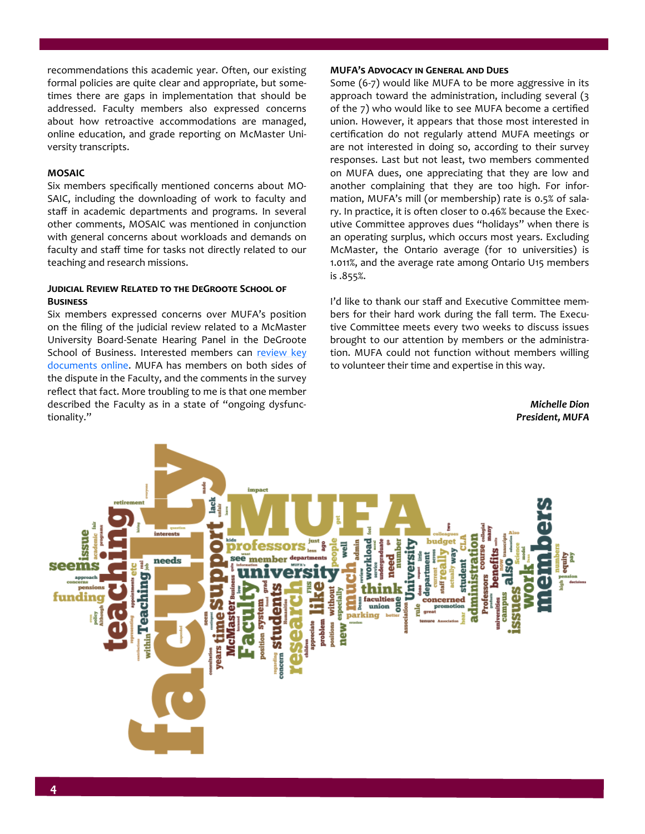recommendations this academic year. Often, our existing formal policies are quite clear and appropriate, but sometimes there are gaps in implementation that should be addressed. Faculty members also expressed concerns about how retroactive accommodations are managed, online education, and grade reporting on McMaster University transcripts.

### **MOSAIC**

Six members specifically mentioned concerns about MO-SAIC, including the downloading of work to faculty and staff in academic departments and programs. In several other comments, MOSAIC was mentioned in conjunction with general concerns about workloads and demands on faculty and staff time for tasks not directly related to our teaching and research missions.

### **Judicial Review Related to the DeGroote School of Business**

Six members expressed concerns over MUFA's position on the filing of the judicial review related to a McMaster University Board-Senate Hearing Panel in the DeGroote School of Business. Interested members can review key [documents online.](http://macfaculty.ca/judicial-review-of-mcmaster-university-tribunal/) MUFA has members on both sides of the dispute in the Faculty, and the comments in the survey reflect that fact. More troubling to me is that one member described the Faculty as in a state of "ongoing dysfunctionality."

#### **MUFA's Advocacy in General and Dues**

Some (6-7) would like MUFA to be more aggressive in its approach toward the administration, including several (3 of the 7) who would like to see MUFA become a certified union. However, it appears that those most interested in certification do not regularly attend MUFA meetings or are not interested in doing so, according to their survey responses. Last but not least, two members commented on MUFA dues, one appreciating that they are low and another complaining that they are too high. For information, MUFA's mill (or membership) rate is 0.5% of salary. In practice, it is often closer to 0.46% because the Executive Committee approves dues "holidays" when there is an operating surplus, which occurs most years. Excluding McMaster, the Ontario average (for 10 universities) is 1.011%, and the average rate among Ontario U15 members is .855%.

I'd like to thank our staff and Executive Committee members for their hard work during the fall term. The Executive Committee meets every two weeks to discuss issues brought to our attention by members or the administration. MUFA could not function without members willing to volunteer their time and expertise in this way.

> *Michelle Dion President, MUFA*

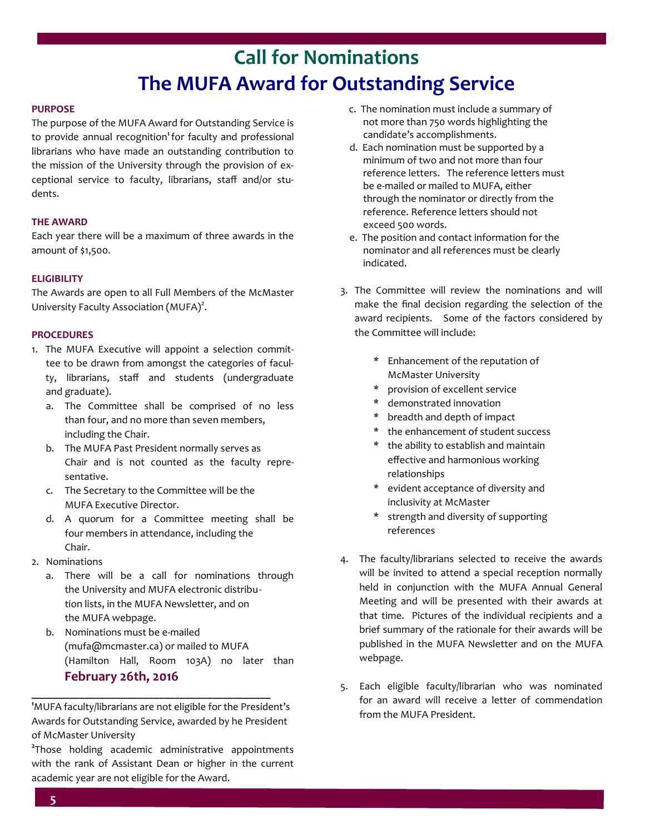# **Call for Nominations The MUFA Award for Outstanding Service**

### **PURPOSE**

The purpose of the MUFA Award for Outstanding Service is to provide annual recognition**<sup>1</sup>**for faculty and professional librarians who have made an outstanding contribution to the mission of the University through the provision of exceptional service to faculty, librarians, staff and/or students.

### **THE AWARD**

Each year there will be a maximum of three awards in the amount of \$1,500.

### **ELIGIBILITY**

The Awards are open to all Full Members of the McMaster University Faculty Association (MUFA)<sup>2</sup>.

### **PROCEDURES**

- 1. The MUFA Executive will appoint a selection committee to be drawn from amongst the categories of faculty, librarians, staff and students (undergraduate and graduate).
	- a. The Committee shall be comprised of no less than four, and no more than seven members, including the Chair.
	- b. The MUFA Past President normally serves as Chair and is not counted as the faculty representative.
	- c. The Secretary to the Committee will be the MUFA Executive Director.
	- d. A quorum for a Committee meeting shall be four members in attendance, including the Chair.
- 2. Nominations
	- a. There will be a call for nominations through the University and MUFA electronic distribution lists, in the MUFA Newsletter, and on the MUFA webpage.
	- b. Nominations must be e-mailed (mufa@mcmaster.ca) or mailed to MUFA (Hamilton Hall, Room 103A) no later than  **February 26th, 2016**

**<sup>1</sup>**MUFA faculty/librarians are not eligible for the President's Awards for Outstanding Service, awarded by he President of McMaster University

**\_\_\_\_\_\_\_\_\_\_\_\_\_\_\_\_\_\_\_\_\_\_\_\_\_\_\_\_\_\_\_\_\_\_\_\_\_\_\_\_\_\_\_\_\_**

**2** Those holding academic administrative appointments with the rank of Assistant Dean or higher in the current academic year are not eligible for the Award.

- c. The nomination must include a summary of not more than 750 words highlighting the candidate's accomplishments.
- d. Each nomination must be supported by a minimum of two and not more than four reference letters. The reference letters must be e-mailed or mailed to MUFA, either through the nominator or directly from the reference. Reference letters should not exceed 500 words.
- e. The position and contact information for the nominator and all references must be clearly indicated.
- 3. The Committee will review the nominations and will make the final decision regarding the selection of the award recipients. Some of the factors considered by the Committee will include:
	- \* Enhancement of the reputation of McMaster University
	- \* provision of excellent service
	- \* demonstrated innovation
	- \* breadth and depth of impact
	- \* the enhancement of student success
	- \* the ability to establish and maintain effective and harmonious working relationships
	- \* evident acceptance of diversity and inclusivity at McMaster
	- \* strength and diversity of supporting references
- 4. The faculty/librarians selected to receive the awards will be invited to attend a special reception normally held in conjunction with the MUFA Annual General Meeting and will be presented with their awards at that time. Pictures of the individual recipients and a brief summary of the rationale for their awards will be published in the MUFA Newsletter and on the MUFA webpage.
- 5. Each eligible faculty/librarian who was nominated for an award will receive a letter of commendation from the MUFA President.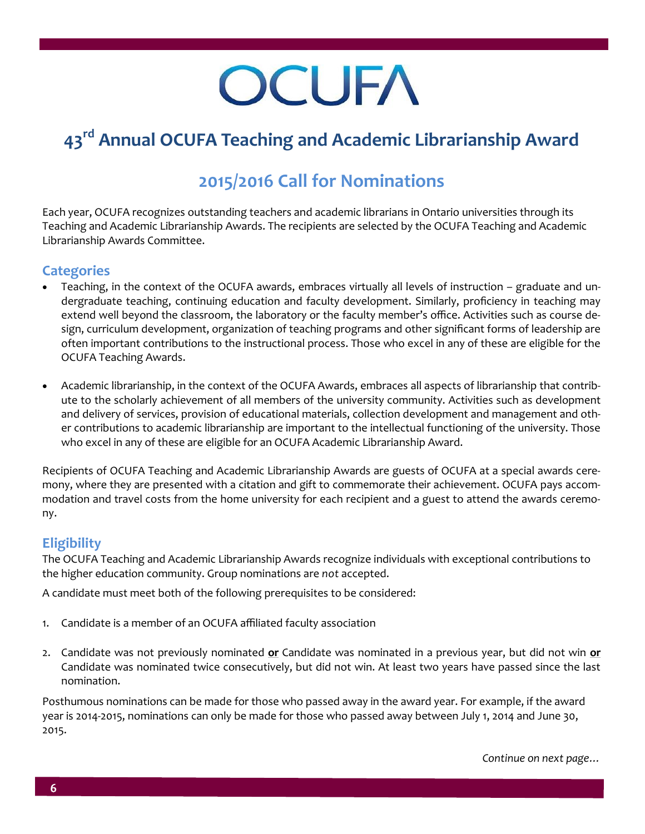# **OCUFA**

# **43rd Annual OCUFA Teaching and Academic Librarianship Award**

## **2015/2016 Call for Nominations**

Each year, OCUFA recognizes outstanding teachers and academic librarians in Ontario universities through its Teaching and Academic Librarianship Awards. The recipients are selected by the OCUFA Teaching and Academic Librarianship Awards Committee.

### **Categories**

- Teaching, in the context of the OCUFA awards, embraces virtually all levels of instruction graduate and undergraduate teaching, continuing education and faculty development. Similarly, proficiency in teaching may extend well beyond the classroom, the laboratory or the faculty member's office. Activities such as course design, curriculum development, organization of teaching programs and other significant forms of leadership are often important contributions to the instructional process. Those who excel in any of these are eligible for the OCUFA Teaching Awards.
- Academic librarianship, in the context of the OCUFA Awards, embraces all aspects of librarianship that contribute to the scholarly achievement of all members of the university community. Activities such as development and delivery of services, provision of educational materials, collection development and management and other contributions to academic librarianship are important to the intellectual functioning of the university. Those who excel in any of these are eligible for an OCUFA Academic Librarianship Award.

Recipients of OCUFA Teaching and Academic Librarianship Awards are guests of OCUFA at a special awards ceremony, where they are presented with a citation and gift to commemorate their achievement. OCUFA pays accommodation and travel costs from the home university for each recipient and a guest to attend the awards ceremony.

### **Eligibility**

The OCUFA Teaching and Academic Librarianship Awards recognize individuals with exceptional contributions to the higher education community. Group nominations are *not* accepted.

A candidate must meet both of the following prerequisites to be considered:

- 1. Candidate is a member of an OCUFA affiliated faculty association
- 2. Candidate was not previously nominated **or** Candidate was nominated in a previous year, but did not win **or** Candidate was nominated twice consecutively, but did not win. At least two years have passed since the last nomination.

Posthumous nominations can be made for those who passed away in the award year. For example, if the award year is 2014-2015, nominations can only be made for those who passed away between July 1, 2014 and June 30, 2015.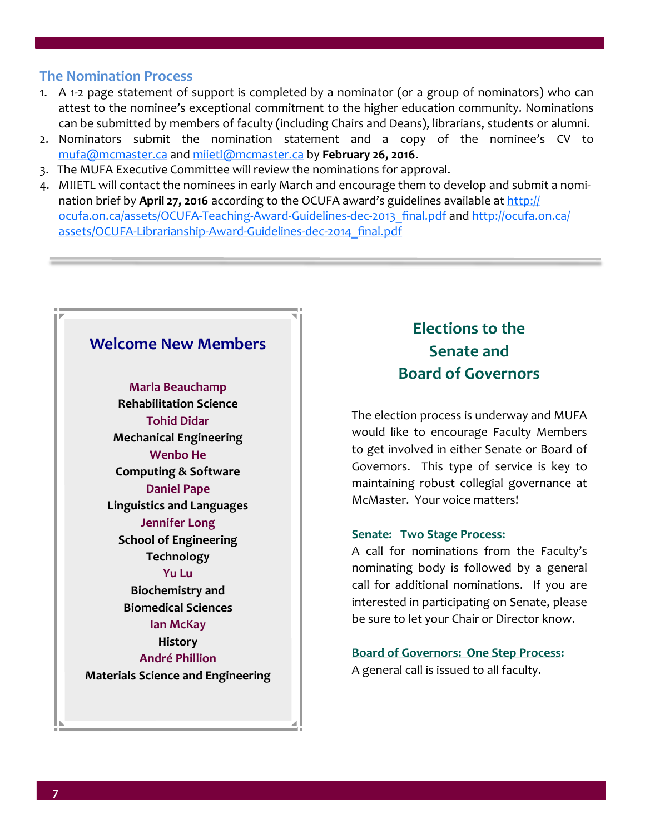### **The Nomination Process**

- 1. A 1-2 page statement of support is completed by a nominator (or a group of nominators) who can attest to the nominee's exceptional commitment to the higher education community. Nominations can be submitted by members of faculty (including Chairs and Deans), librarians, students or alumni.
- 2. Nominators submit the nomination statement and a copy of the nominee's CV to [mufa@mcmaster.ca](mailto:mufa@mcmaster.ca) and [miietl@mcmaster.ca](mailto:miietl@mcmaster.ca) by **February 26, 2016**.
- 3. The MUFA Executive Committee will review the nominations for approval.
- 4. MIIETL will contact the nominees in early March and encourage them to develop and submit a nomination brief by **April 27, 2016** according to the OCUFA award's guidelines available at [http://](http://ocufa.on.ca/assets/OCUFA-Teaching-Award-Guidelines-dec-2013_final.pdf) [ocufa.on.ca/assets/OCUFA](http://ocufa.on.ca/assets/OCUFA-Teaching-Award-Guidelines-dec-2013_final.pdf)-Teaching-Award-Guidelines-dec-2013\_final.pdf and [http://ocufa.on.ca/](http://ocufa.on.ca/assets/OCUFA-Librarianship-Award-Guidelines-dec-2014_final.pdf) [assets/OCUFA](http://ocufa.on.ca/assets/OCUFA-Librarianship-Award-Guidelines-dec-2014_final.pdf)-Librarianship-Award-Guidelines-dec-2014\_final.pdf

### **Welcome New Members**

**Marla Beauchamp Rehabilitation Science Tohid Didar Mechanical Engineering Wenbo He Computing & Software Daniel Pape Linguistics and Languages Jennifer Long School of Engineering Technology Yu Lu Biochemistry and Biomedical Sciences Ian McKay History André Phillion**

**Materials Science and Engineering**

### **Elections to the Senate and Board of Governors**

The election process is underway and MUFA would like to encourage Faculty Members to get involved in either Senate or Board of Governors. This type of service is key to maintaining robust collegial governance at McMaster. Your voice matters!

### **Senate: Two Stage Process:**

A call for nominations from the Faculty's nominating body is followed by a general call for additional nominations. If you are interested in participating on Senate, please be sure to let your Chair or Director know.

**Board of Governors: One Step Process:**

A general call is issued to all faculty.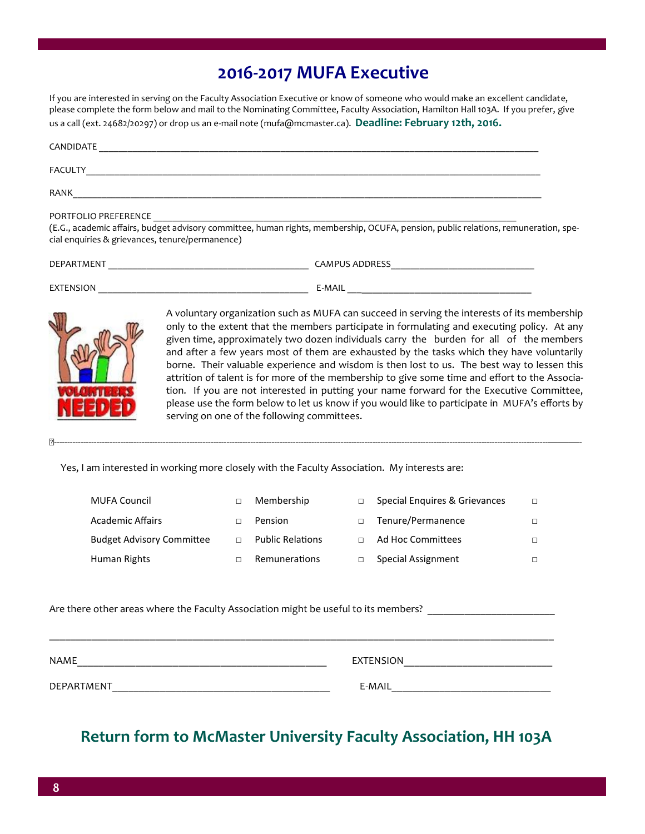### **2016-2017 MUFA Executive**

If you are interested in serving on the Faculty Association Executive or know of someone who would make an excellent candidate, please complete the form below and mail to the Nominating Committee, Faculty Association, Hamilton Hall 103A. If you prefer, give us a call (ext. 24682/20297) or drop us an e-mail note (mufa@mcmaster.ca). **Deadline: February 12th, 2016.**

| CANDIDATE                                                               |                                                                                                                                    |
|-------------------------------------------------------------------------|------------------------------------------------------------------------------------------------------------------------------------|
| FACULTY                                                                 |                                                                                                                                    |
| RANK                                                                    |                                                                                                                                    |
| PORTFOLIO PREFERENCE<br>cial enquiries & grievances, tenure/permanence) | (E.G., academic affairs, budget advisory committee, human rights, membership, OCUFA, pension, public relations, remuneration, spe- |
| DEPARTMENT                                                              | <b>CAMPUS ADDRESS</b>                                                                                                              |

| <b>MENI</b>           | AMPU<br>ADDRESS |  |
|-----------------------|-----------------|--|
|                       |                 |  |
|                       |                 |  |
| <b>EXTENSION</b><br>⊷ | E-MAIL          |  |
|                       |                 |  |



A voluntary organization such as MUFA can succeed in serving the interests of its membership only to the extent that the members participate in formulating and executing policy. At any given time, approximately two dozen individuals carry the burden for all of the members and after a few years most of them are exhausted by the tasks which they have voluntarily borne. Their valuable experience and wisdom is then lost to us. The best way to lessen this attrition of talent is for more of the membership to give some time and effort to the Association. If you are not interested in putting your name forward for the Executive Committee, please use the form below to let us know if you would like to participate in MUFA's efforts by serving on one of the following committees.

Yes, I am interested in working more closely with the Faculty Association. My interests are:

| <b>MUFA Council</b>              | Membership              | Special Enguires & Grievances | П. |
|----------------------------------|-------------------------|-------------------------------|----|
| <b>Academic Affairs</b>          | Pension                 | Tenure/Permanence             |    |
| <b>Budget Advisory Committee</b> | <b>Public Relations</b> | Ad Hoc Committees             |    |
| Human Rights                     | Remunerations           | Special Assignment            |    |

✂------------------------------------------------------------------------------------------------------------------------------------------------------------------------------------------———-

Are there other areas where the Faculty Association might be useful to its members?

| <b>NAME</b> | <b>FXTENSION</b> |
|-------------|------------------|
| DEPARTMENT  | E-MAIL           |

\_\_\_\_\_\_\_\_\_\_\_\_\_\_\_\_\_\_\_\_\_\_\_\_\_\_\_\_\_\_\_\_\_\_\_\_\_\_\_\_\_\_\_\_\_\_\_\_\_\_\_\_\_\_\_\_\_\_\_\_\_\_\_\_\_\_\_\_\_\_\_\_\_\_\_\_\_\_\_\_\_\_\_\_\_\_\_\_\_\_\_\_\_\_\_

### **Return form to McMaster University Faculty Association, HH 103A**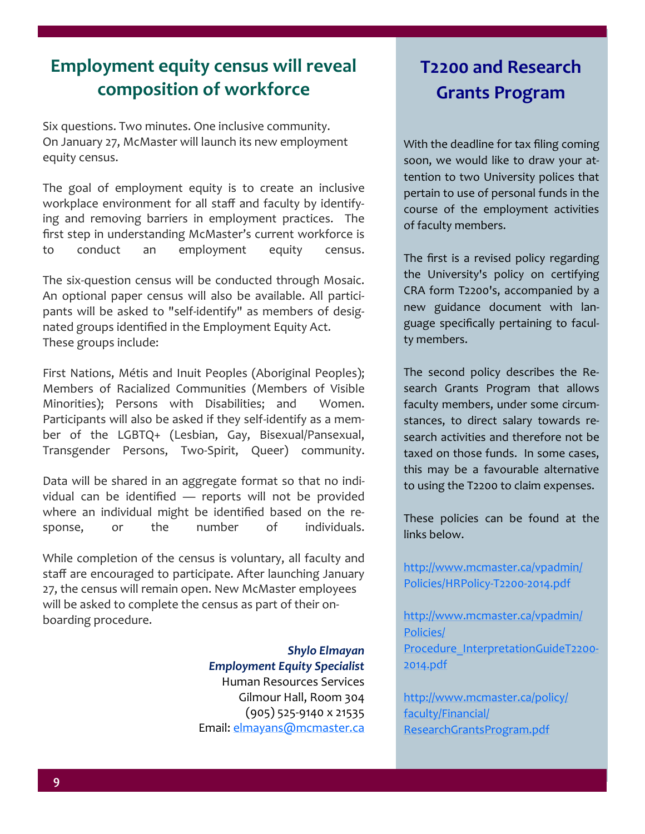# **Employment equity census will reveal composition of workforce**

Six questions. Two minutes. One inclusive community. On January 27, McMaster will launch its new employment equity census.

The goal of employment equity is to create an inclusive workplace environment for all staff and faculty by identifying and removing barriers in employment practices. The first step in understanding McMaster's current workforce is to conduct an employment equity census.

The six-question census will be conducted through Mosaic. An optional paper census will also be available. All participants will be asked to "self-identify" as members of designated groups identified in the Employment Equity Act. These groups include:

First Nations, Métis and Inuit Peoples (Aboriginal Peoples); Members of Racialized Communities (Members of Visible Minorities); Persons with Disabilities; and Women. Participants will also be asked if they self-identify as a member of the LGBTQ+ (Lesbian, Gay, Bisexual/Pansexual, Transgender Persons, Two-Spirit, Queer) community.

Data will be shared in an aggregate format so that no individual can be identified — reports will not be provided where an individual might be identified based on the response, or the number of individuals.

While completion of the census is voluntary, all faculty and staff are encouraged to participate. After launching January 27, the census will remain open. New McMaster employees will be asked to complete the census as part of their onboarding procedure.

> *Shylo Elmayan Employment Equity Specialist* Human Resources Services Gilmour Hall, Room 304 (905) 525-9140 x 21535 Email: [elmayans@mcmaster.ca](mailto:elmayans@mcmaster.ca)

# **T2200 and Research Grants Program**

With the deadline for tax filing coming soon, we would like to draw your attention to two University polices that pertain to use of personal funds in the course of the employment activities of faculty members.

The first is a revised policy regarding the University's policy on certifying CRA form T2200's, accompanied by a new guidance document with language specifically pertaining to faculty members.

The second policy describes the Research Grants Program that allows faculty members, under some circumstances, to direct salary towards research activities and therefore not be taxed on those funds. In some cases, this may be a favourable alternative to using the T2200 to claim expenses.

These policies can be found at the links below.

[http://www.mcmaster.ca/vpadmin/](http://www.mcmaster.ca/vpadmin/Policies/HRPolicy-T2200-2014.pdf) [Policies/HRPolicy](http://www.mcmaster.ca/vpadmin/Policies/HRPolicy-T2200-2014.pdf)-T2200-2014.pdf

[http://www.mcmaster.ca/vpadmin/](http://www.mcmaster.ca/vpadmin/Policies/Procedure_InterpretationGuideT2200-2014.pdf) [Policies/](http://www.mcmaster.ca/vpadmin/Policies/Procedure_InterpretationGuideT2200-2014.pdf) [Procedure\\_InterpretationGuideT2200](http://www.mcmaster.ca/vpadmin/Policies/Procedure_InterpretationGuideT2200-2014.pdf)-[2014.pdf](http://www.mcmaster.ca/vpadmin/Policies/Procedure_InterpretationGuideT2200-2014.pdf)

[http://www.mcmaster.ca/policy/](http://www.mcmaster.ca/policy/faculty/Financial/ResearchGrantsProgram.pdf) [faculty/Financial/](http://www.mcmaster.ca/policy/faculty/Financial/ResearchGrantsProgram.pdf) [ResearchGrantsProgram.pdf](http://www.mcmaster.ca/policy/faculty/Financial/ResearchGrantsProgram.pdf)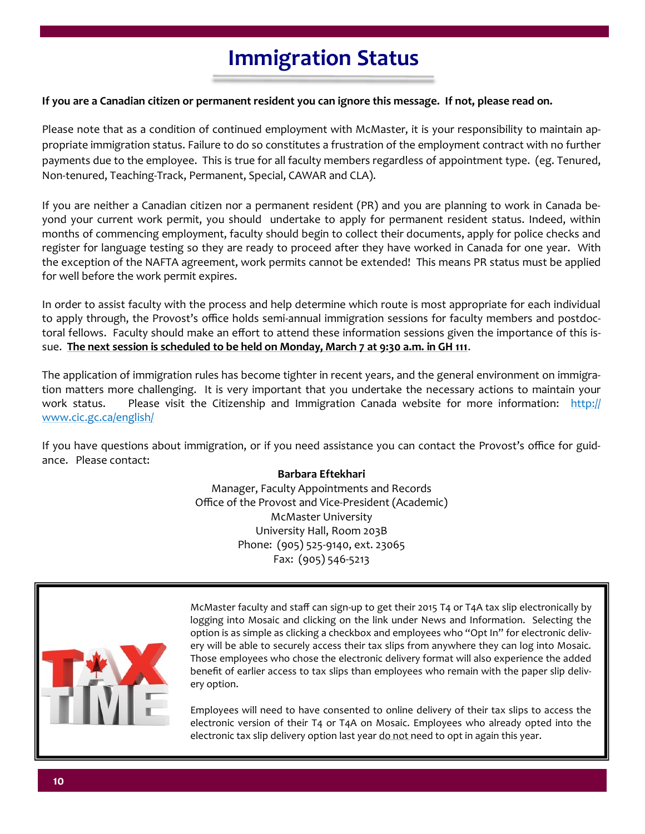# **Immigration Status**

### **If you are a Canadian citizen or permanent resident you can ignore this message. If not, please read on.**

Please note that as a condition of continued employment with McMaster, it is your responsibility to maintain appropriate immigration status. Failure to do so constitutes a frustration of the employment contract with no further payments due to the employee. This is true for all faculty members regardless of appointment type. (eg. Tenured, Non-tenured, Teaching-Track, Permanent, Special, CAWAR and CLA).

If you are neither a Canadian citizen nor a permanent resident (PR) and you are planning to work in Canada beyond your current work permit, you should undertake to apply for permanent resident status. Indeed, within months of commencing employment, faculty should begin to collect their documents, apply for police checks and register for language testing so they are ready to proceed after they have worked in Canada for one year. With the exception of the NAFTA agreement, work permits cannot be extended! This means PR status must be applied for well before the work permit expires.

In order to assist faculty with the process and help determine which route is most appropriate for each individual to apply through, the Provost's office holds semi-annual immigration sessions for faculty members and postdoctoral fellows. Faculty should make an effort to attend these information sessions given the importance of this issue. **The next session is scheduled to be held on Monday, March 7 at 9:30 a.m. in GH 111**.

The application of immigration rules has become tighter in recent years, and the general environment on immigration matters more challenging. It is very important that you undertake the necessary actions to maintain your work status. Please visit the Citizenship and Immigration Canada website for more information: [http://](http://www.cic.gc.ca/english/) [www.cic.gc.ca/english/](http://www.cic.gc.ca/english/)

If you have questions about immigration, or if you need assistance you can contact the Provost's office for guidance. Please contact:

### **Barbara Eftekhari**

Manager, Faculty Appointments and Records Office of the Provost and Vice-President (Academic) McMaster University University Hall, Room 203B Phone: (905) 525-9140, ext. 23065 Fax: (905) 546-5213



McMaster faculty and staff can sign-up to get their 2015 T4 or T4A tax slip electronically by logging into Mosaic and clicking on the link under News and Information. Selecting the option is as simple as clicking a checkbox and employees who "Opt In" for electronic delivery will be able to securely access their tax slips from anywhere they can log into Mosaic. Those employees who chose the electronic delivery format will also experience the added benefit of earlier access to tax slips than employees who remain with the paper slip delivery option.

Employees will need to have consented to online delivery of their tax slips to access the electronic version of their T4 or T4A on Mosaic. Employees who already opted into the electronic tax slip delivery option last year do not need to opt in again this year.